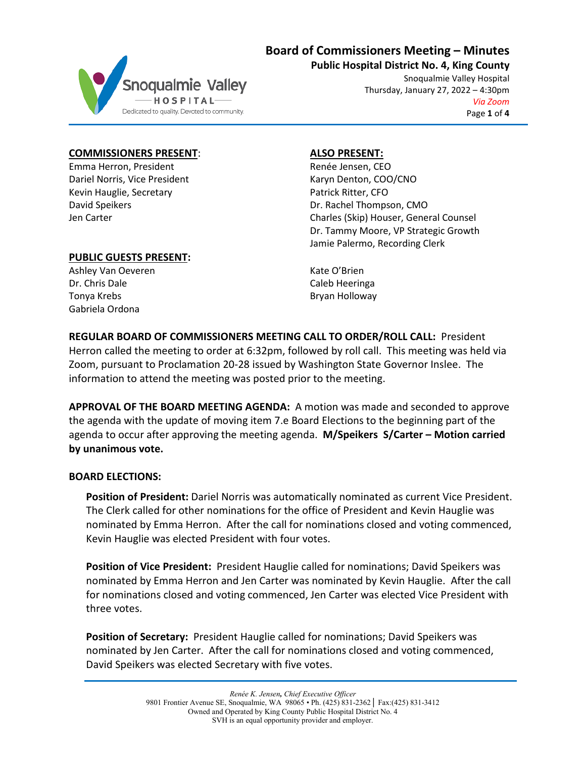

# **Board of Commissioners Meeting – Minutes**

**Public Hospital District No. 4, King County** Snoqualmie Valley Hospital Thursday, January 27, 2022 – 4:30pm *Via Zoom* Page **1** of **4**

#### **COMMISSIONERS PRESENT**:

Emma Herron, President Dariel Norris, Vice President Kevin Hauglie, Secretary David Speikers Jen Carter

## **ALSO PRESENT:**

Renée Jensen, CEO Karyn Denton, COO/CNO Patrick Ritter, CFO Dr. Rachel Thompson, CMO Charles (Skip) Houser, General Counsel Dr. Tammy Moore, VP Strategic Growth Jamie Palermo, Recording Clerk

## **PUBLIC GUESTS PRESENT:**

Ashley Van Oeveren Dr. Chris Dale Tonya Krebs Gabriela Ordona

### Kate O'Brien Caleb Heeringa Bryan Holloway

**REGULAR BOARD OF COMMISSIONERS MEETING CALL TO ORDER/ROLL CALL:** President Herron called the meeting to order at 6:32pm, followed by roll call. This meeting was held via Zoom, pursuant to Proclamation 20-28 issued by Washington State Governor Inslee. The information to attend the meeting was posted prior to the meeting.

**APPROVAL OF THE BOARD MEETING AGENDA:** A motion was made and seconded to approve the agenda with the update of moving item 7.e Board Elections to the beginning part of the agenda to occur after approving the meeting agenda. **M/Speikers S/Carter – Motion carried by unanimous vote.**

### **BOARD ELECTIONS:**

**Position of President:** Dariel Norris was automatically nominated as current Vice President. The Clerk called for other nominations for the office of President and Kevin Hauglie was nominated by Emma Herron. After the call for nominations closed and voting commenced, Kevin Hauglie was elected President with four votes.

**Position of Vice President:** President Hauglie called for nominations; David Speikers was nominated by Emma Herron and Jen Carter was nominated by Kevin Hauglie. After the call for nominations closed and voting commenced, Jen Carter was elected Vice President with three votes.

**Position of Secretary:** President Hauglie called for nominations; David Speikers was nominated by Jen Carter. After the call for nominations closed and voting commenced, David Speikers was elected Secretary with five votes.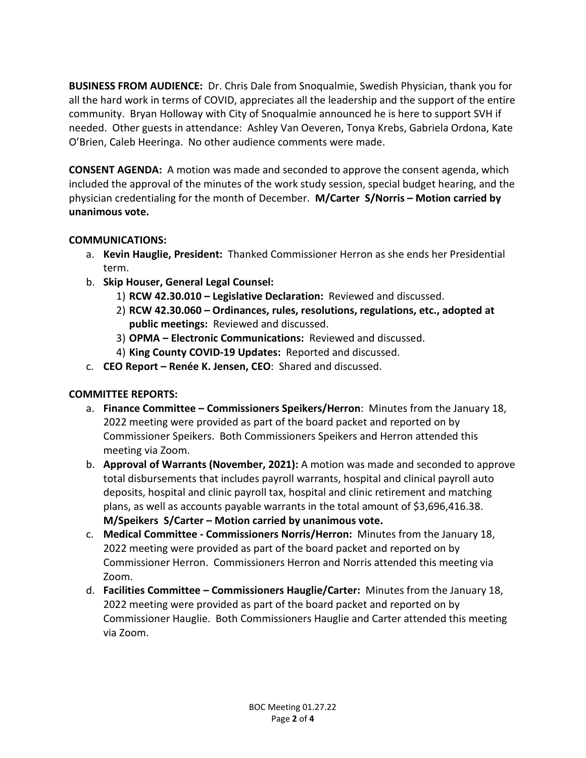**BUSINESS FROM AUDIENCE:** Dr. Chris Dale from Snoqualmie, Swedish Physician, thank you for all the hard work in terms of COVID, appreciates all the leadership and the support of the entire community. Bryan Holloway with City of Snoqualmie announced he is here to support SVH if needed. Other guests in attendance: Ashley Van Oeveren, Tonya Krebs, Gabriela Ordona, Kate O'Brien, Caleb Heeringa. No other audience comments were made.

**CONSENT AGENDA:** A motion was made and seconded to approve the consent agenda, which included the approval of the minutes of the work study session, special budget hearing, and the physician credentialing for the month of December. **M/Carter S/Norris – Motion carried by unanimous vote.**

# **COMMUNICATIONS:**

- a. **Kevin Hauglie, President:** Thanked Commissioner Herron as she ends her Presidential term.
- b. **Skip Houser, General Legal Counsel:**
	- 1) **RCW 42.30.010 – Legislative Declaration:** Reviewed and discussed.
	- 2) **RCW 42.30.060 – Ordinances, rules, resolutions, regulations, etc., adopted at public meetings:** Reviewed and discussed.
	- 3) **OPMA – Electronic Communications:** Reviewed and discussed.
	- 4) **King County COVID-19 Updates:** Reported and discussed.
- c. **CEO Report – Renée K. Jensen, CEO**: Shared and discussed.

# **COMMITTEE REPORTS:**

- a. **Finance Committee – Commissioners Speikers/Herron**: Minutes from the January 18, 2022 meeting were provided as part of the board packet and reported on by Commissioner Speikers. Both Commissioners Speikers and Herron attended this meeting via Zoom.
- b. **Approval of Warrants (November, 2021):** A motion was made and seconded to approve total disbursements that includes payroll warrants, hospital and clinical payroll auto deposits, hospital and clinic payroll tax, hospital and clinic retirement and matching plans, as well as accounts payable warrants in the total amount of \$3,696,416.38. **M/Speikers S/Carter – Motion carried by unanimous vote.**
- c. **Medical Committee - Commissioners Norris/Herron:** Minutes from the January 18, 2022 meeting were provided as part of the board packet and reported on by Commissioner Herron. Commissioners Herron and Norris attended this meeting via Zoom.
- d. **Facilities Committee – Commissioners Hauglie/Carter:** Minutes from the January 18, 2022 meeting were provided as part of the board packet and reported on by Commissioner Hauglie. Both Commissioners Hauglie and Carter attended this meeting via Zoom.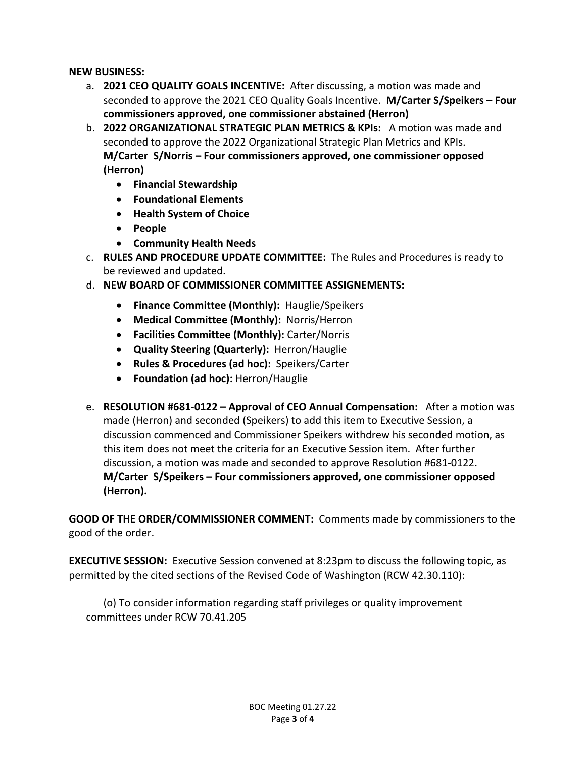**NEW BUSINESS:**

- a. **2021 CEO QUALITY GOALS INCENTIVE:** After discussing, a motion was made and seconded to approve the 2021 CEO Quality Goals Incentive. **M/Carter S/Speikers – Four commissioners approved, one commissioner abstained (Herron)**
- b. **2022 ORGANIZATIONAL STRATEGIC PLAN METRICS & KPIs:** A motion was made and seconded to approve the 2022 Organizational Strategic Plan Metrics and KPIs. **M/Carter S/Norris – Four commissioners approved, one commissioner opposed (Herron)**
	- **Financial Stewardship**
	- **Foundational Elements**
	- **Health System of Choice**
	- **People**
	- **Community Health Needs**
- c. **RULES AND PROCEDURE UPDATE COMMITTEE:** The Rules and Procedures is ready to be reviewed and updated.
- d. **NEW BOARD OF COMMISSIONER COMMITTEE ASSIGNEMENTS:**
	- **Finance Committee (Monthly):** Hauglie/Speikers
	- **Medical Committee (Monthly):** Norris/Herron
	- **Facilities Committee (Monthly):** Carter/Norris
	- **Quality Steering (Quarterly):** Herron/Hauglie
	- **Rules & Procedures (ad hoc):** Speikers/Carter
	- **Foundation (ad hoc):** Herron/Hauglie
- e. **RESOLUTION #681-0122 – Approval of CEO Annual Compensation:** After a motion was made (Herron) and seconded (Speikers) to add this item to Executive Session, a discussion commenced and Commissioner Speikers withdrew his seconded motion, as this item does not meet the criteria for an Executive Session item. After further discussion, a motion was made and seconded to approve Resolution #681-0122. **M/Carter S/Speikers – Four commissioners approved, one commissioner opposed (Herron).**

**GOOD OF THE ORDER/COMMISSIONER COMMENT:** Comments made by commissioners to the good of the order.

**EXECUTIVE SESSION:** Executive Session convened at 8:23pm to discuss the following topic, as permitted by the cited sections of the Revised Code of Washington (RCW 42.30.110):

(o) To consider information regarding staff privileges or quality improvement committees under RCW 70.41.205